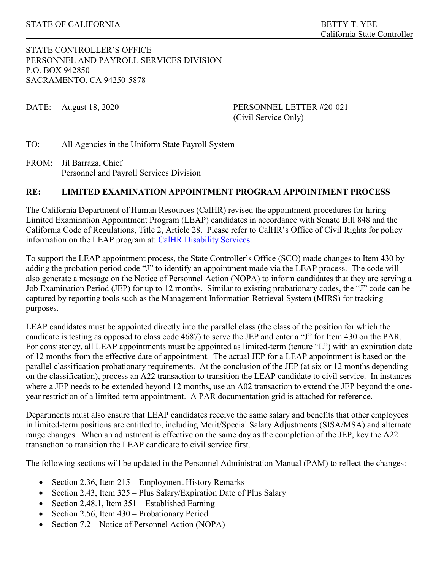STATE CONTROLLER'S OFFICE PERSONNEL AND PAYROLL SERVICES DIVISION P.O. BOX 942850 SACRAMENTO, CA 94250-5878

DATE: August 18, 2020 PERSONNEL LETTER #20-021 (Civil Service Only)

TO: All Agencies in the Uniform State Payroll System

FROM: Jil Barraza, Chief Personnel and Payroll Services Division

## **RE: LIMITED EXAMINATION APPOINTMENT PROGRAM APPOINTMENT PROCESS**

The California Department of Human Resources (CalHR) revised the appointment procedures for hiring Limited Examination Appointment Program (LEAP) candidates in accordance with Senate Bill 848 and the California Code of Regulations, Title 2, Article 28. Please refer to CalHR's Office of Civil Rights for policy information on the LEAP program at: [CalHR Disability Services.](https://www.calhr.ca.gov/state-hr-professionals/Pages/limited-examination-appointment-program.aspx)

To support the LEAP appointment process, the State Controller's Office (SCO) made changes to Item 430 by adding the probation period code "J" to identify an appointment made via the LEAP process. The code will also generate a message on the Notice of Personnel Action (NOPA) to inform candidates that they are serving a Job Examination Period (JEP) for up to 12 months. Similar to existing probationary codes, the "J" code can be captured by reporting tools such as the Management Information Retrieval System (MIRS) for tracking purposes.

LEAP candidates must be appointed directly into the parallel class (the class of the position for which the candidate is testing as opposed to class code 4687) to serve the JEP and enter a "J" for Item 430 on the PAR. For consistency, all LEAP appointments must be appointed as limited-term (tenure "L") with an expiration date of 12 months from the effective date of appointment. The actual JEP for a LEAP appointment is based on the parallel classification probationary requirements. At the conclusion of the JEP (at six or 12 months depending on the classification), process an A22 transaction to transition the LEAP candidate to civil service. In instances where a JEP needs to be extended beyond 12 months, use an A02 transaction to extend the JEP beyond the oneyear restriction of a limited-term appointment. A PAR documentation grid is attached for reference.

Departments must also ensure that LEAP candidates receive the same salary and benefits that other employees in limited-term positions are entitled to, including Merit/Special Salary Adjustments (SISA/MSA) and alternate range changes. When an adjustment is effective on the same day as the completion of the JEP, key the A22 transaction to transition the LEAP candidate to civil service first.

The following sections will be updated in the Personnel Administration Manual (PAM) to reflect the changes:

- Section 2.36, Item 215 Employment History Remarks
- Section 2.43, Item 325 Plus Salary/Expiration Date of Plus Salary
- Section 2.48.1, Item 351 Established Earning
- Section 2.56, Item 430 Probationary Period
- Section 7.2 Notice of Personnel Action (NOPA)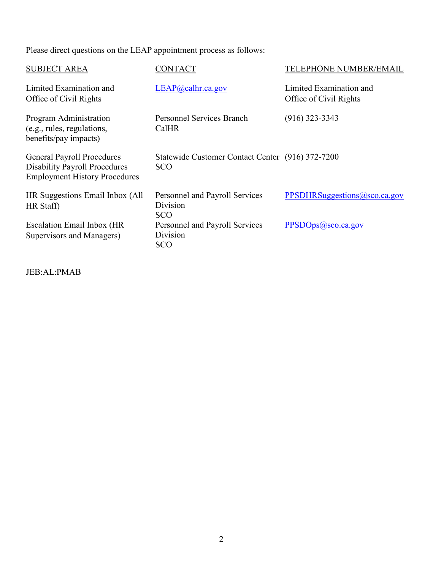Please direct questions on the LEAP appointment process as follows:

| <b>SUBJECT AREA</b>                                                                                               | CONTACT                                                        | TELEPHONE NUMBER/EMAIL                            |
|-------------------------------------------------------------------------------------------------------------------|----------------------------------------------------------------|---------------------------------------------------|
| Limited Examination and<br>Office of Civil Rights                                                                 | LEAP@calhr.ca.gov                                              | Limited Examination and<br>Office of Civil Rights |
| Program Administration<br>(e.g., rules, regulations,<br>benefits/pay impacts)                                     | <b>Personnel Services Branch</b><br>CalHR                      | $(916)$ 323-3343                                  |
| <b>General Payroll Procedures</b><br><b>Disability Payroll Procedures</b><br><b>Employment History Procedures</b> | Statewide Customer Contact Center (916) 372-7200<br><b>SCO</b> |                                                   |
| HR Suggestions Email Inbox (All<br>HR Staff)                                                                      | Personnel and Payroll Services<br>Division<br><b>SCO</b>       | PPSDHRSuggestions@sco.ca.gov                      |
| <b>Escalation Email Inbox (HR</b><br>Supervisors and Managers)                                                    | Personnel and Payroll Services<br>Division<br>SCO              | PPSDOps@sco.ca.gov                                |

JEB:AL:PMAB